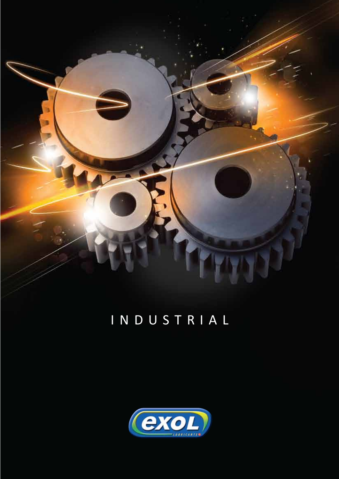

# I N D U S T R I A L

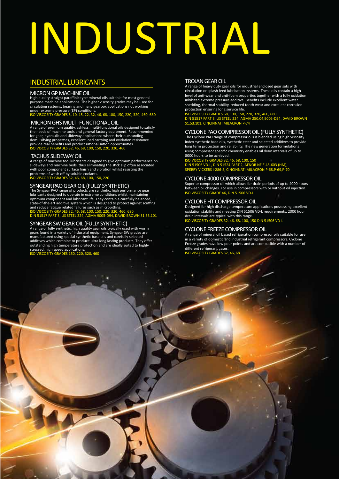# INDUSTRIAL

## INDUSTRIAL LUBRICANTS

#### MICRON GP MACHINE OIL

High quality straight paraffinic type mineral oils suitable for most general purpose machine applications. The higher viscosity grades may be used for circulating systems, bearing and many gearbox applications not working under extreme pressure (EP) conditions. ISO VISCOSITY GRADES 5, 10, 15, 22, 32, 46, 68, 100, 150, 220, 320, 460, 680

### MICRON GHS MULTI-FUNCTIONAL OIL

A range of premium quality, ashless, multi-functional oils designed to satisfy the needs of machine tools and general factory equipment. Recommended for gear, hydraulic and slideway applications where their outstanding demulsifying properties, excellent load carrying and oxidation resistance provide real benefits and product rationalisation opportunities.  $16$  68, 100, 150, 220, 32

#### TACHUS SLIDEWAY OIL

A range of machine tool lubricants designed to give optimum performance on slideways and machine beds, thus eliminating the stick slip often associated with poor component surface finish and vibration whilst resisting the problems of wash off by soluble coolants. ISO VISCOSITY GRADES 32, 46, 68, 100, 150, 220

#### SYNGEAR PAO GEAR OIL (FULLY SYNTHETIC)

The Syngear PAO range of products are synthetic, high performance gear lubricants designed to operate in extreme conditions whilst maintaining optimum component and lubricant life. They contain a carefully balanced, state-of-the-art additive system which is designed to protect against scuffing and reduce fatigue related failures such as micropitting. ISO VISCOSITY GRADES 32, 46, 68, 100, 150, 220, 320, 460, 680 DIN 51517 PART 3, US STEEL 224, AGMA 9005-D94, DAVID BROWN S1.53.101

SYNGEAR SW GEAR OIL (FULLY SYNTHETIC)<br>A range of fully synthetic, high quality gear oils typically used with worm<br>gears found in a variety of industrial equipment. Syngear SW grades are<br>manufactured using special synthetic outstanding high temperature protection and are ideally suited to highly stressed, high speed applications. ISO VISCOSITY GRADES 150, 220, 320, 460

#### TROJAN GEAR OIL

A range of heavy duty gear oils for industrial enclosed gear sets with circulation or splash feed lubrication systems. These oils contain a high level of anti-wear and anti-foam properties together with a fully oxidation inhibited extreme pressure additive. Benefits include excellent water shedding, thermal stability, reduced tooth wear and excellent corrosion protection ensuring long service life.

#### ISO VISCOSITY GRADES 68, 100, 150, 220, 320, 460, 680

DIN 51517 PART 3, US STEEL 224, AGMA 250.04,9005-D94, DAVID BROWN S1.53.101, CINCINNATI MILACRON P-74

#### CYCLONE PAO COMPRESSOR OIL (FULLY SYNTHETIC)

The Cyclone PAO range of compressor oils is blended using high viscosity index synthetic base oils, synthetic ester and selected additives to provide long term protection and reliability. The new generation formulations using compressor specific chemistry enables oil drain intervals of up to 8000 hours to be achieved.

#### ISO VISCOSITY GRADES 32, 46, 68, 100, 150

DIN 51506 VD-L, DIN 51524 PART 2, AFNOR NF E 48-603 (HM), SPERRY VICKERS I-286-S, CINCINNATI MILACRON P-68,P-69,P-70

#### CYCLONE 4000 COMPRESSOR OIL

Superior compressor oil which allows for drain periods of up to 4000 hours between oil changes. For use in compressors with or without oil injection. ISO VISCOSITY GRADE 46, DIN 51506 VD-L

#### CYCLONE HT COMPRESSOR OIL

Designed for high discharge temperature applications possessing excellent oxidation stability and meeting DIN 51506 VD-L requirements. 2000 hour drain intervals are typical with this range. ISO VISCOSITY GRADES 32, 46, 68, 100, 150 DIN 51506 VD-L

#### CYCLONE FREEZE COMPRESSOR OIL

A range of mineral oil based refrigeration compressor oils suitable for use in a variety of domestic and industrial refrigerant compressors. Cyclone Freeze grades have low pour points and are compatible with a number of different refrigerant gases. ISO VISCOSITY GRADES 32, 46, 68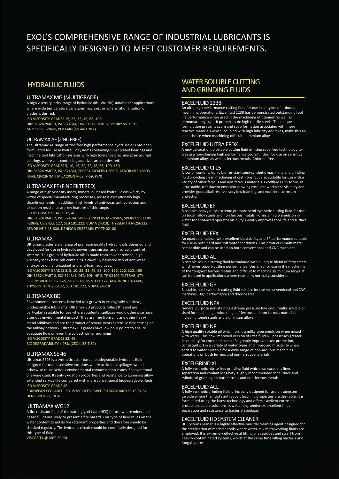# EXOL'S COMPREHENSIVE RANGE OF INDUSTRIAL LUBRICANTS IS SPECIFICALLY DESIGNED TO MEET CUSTOMER REQUIREMENTS.

# HYDRAULIC FLUIDS

#### ULTRAMAX MG (MULTIGRADE)

A high viscosity index range of hydraulic oils (VI>150) suitable for applications where wide temperature variations may exist or where rationalisation of grades is desired.

ISO VISCOSITY GRADES 15, 22, 32, 46, 68, 100

DIN 51524 PART 3, ISO 6743/4, DIN 51517 PART 3, SPERRY VICKERS M-2950-S, I-286-S, POCLAIN (MG46 ONLY)

#### ULTRAMAX AF (ZINC FREE)

The Ultramax AF range of zinc free high performance hydraulic oils has been formulated for use in hydraulic systems containing silver plated bearings and machine tool lubrication systems with high tolerance precision plain journal bearings where zinc containing additives are not desired.

ISO VISCOSITY GRADES 5, 10, 15, 22, 32, 46, 68, 100, 150

DIN 51524 PART 2, ISO 6743/4, SPERRY VICKERS I-286-S, AFNOR NFE 48603 (HM), CINCINNATI MILACRON P-68, P-69, P-70

#### ULTRAMAX FF (FINE FILTERED)

A range of high viscosity index, mineral oil based hydraulic oils which, by virtue of special manufacturing processes, possess exceptionally high cleanliness levels. In addition, high levels of anti-wear, anti-corrosion and oxidation resistance are key features of this range. ISO VISCOSITY GRADES 32, 46

DIN 51524 PART 2, ISO 6743/4, SPERRY VICKERS M-2950-S, SPERRY VICKERS

I-286-S. US STEEL 127, SEB 181.222, VDMA 24318, THYSSEN TH N-256132, AFNOR NF E 48-600, DENISON FILTERABILITY TP 02100

#### ULTRAMAX

Ultramax grades are a range of premium quality hydraulic oils designed and developed for use in hydraulic power transmission and hydraulic control systems. This group of hydraulic oils is made from solvent refined, high viscosity index base oils containing a carefully balanced mix of anti-wear, anti-corrosion, anti-oxidant and anti-foam additives.

ISO VISCOSITY GRADES 3, 5, 10, 22, 32, 46, 68, 100, 150, 220, 320, 460 DIN 51524 PART 2, ISO 6743/4, DENISON HF-2, TP 02100 FILTERABILITY, SPERRY VICKERS I-286-S, M-2950-S, US STEEL 127, AFNOR NF E 48-600, THYSSEN TH N-256132, SEB 181.222, VDMA 24318

#### ULTRAMAX BD

Environmental concerns have led to a growth in ecologically sensitive, biodegradable lubricants. Ultramax BD products reflect this and are particularly suitable for use where accidental spillages would otherwise have a serious environmental impact. They are free from zinc and other heavy metal additives and are the product of several years extensive field testing on the railway network. Ultramax BD grades have low pour points to ensure adequate flow on even the coldest winter mornings. ISO VISCOSITY GRADES 32, 46

BIODEGRADABILITY > 98% (CEC-L-33-T-82)

#### ULTRAMAX SE 46

Ultramax SE46 is a synthetic ester based, biodegradable hydraulic fluid designed for use in sensitive locations where accidental spillages would otherwise cause serious environmental contamination issues if conventional oils were used. Its anti-oxidation properties and resistance to gumming allow extended service life compared with more conventional biodegradable fluids. ISO VISCOSITY GRADE 46

EUROPEAN ECOLABEL, ISO 15380 HEES, SWEDISH STANDARD SS 15 54 34, DENISON HF-2, HF-6

#### ULTRAMAX WG12

A fire resistant fluid of the water glycol type (HFC) for use where mineral oil based fluids are likely to present a fire hazard. This type of fluid relies on the water content to aid its fire retardant properties and therefore should be checked regularly. The hydraulic circuit should be specifically designed for this type of fluid.

VISCOSITY @ 40°C 39 cSt

## WATER SOLUBLE CUTTING AND GRINDING FLUIDS

#### EXCELFLUID 2238

An ultra high performance cutting fluid for use in all types of arduous machining operations. Excelfluid 2238 has demonstrated outstanding tool life performance when used in the machining of titanium as well as demonstrating superb properties on high tensile steels. The unique formulation prevents scum and soap formation associated with more reactive materials which, coupled with high lubricity additives, make this an ideal choice when machining difficult aluminium alloys.

#### EXCELFLUID ULTRA EPDX

A new generation, biostable cutting fluid utilising soap free technology to create a non-staining high performance coolant. Ideal for use on sensitive aluminium alloys as well as ferrous metals. Chlorine free.

#### EXCELFLUID CI 15

A low oil content, highly bio-resistant semi-synthetic machining and grinding fluid providing clean machining of cast irons, but also suitable for use with a variety of other ferrous and non-ferrous materials. Excelfluid CI 15 forms an ultra-stable, translucent emulsion allowing excellent workpiece visibility and provides good alkali reserve, very low foaming, and excellent corrosion protection.

#### EXCELFLUID EP

Biostable, heavy duty, extreme pressure semi synthetic cutting fluid for use on tough alloy steels and non ferrous metals. Forms a micro emulsion in water for enhanced operator visibility. Greatly improves tool life and surface finish.

#### EXCELFLUID EPX

An opaque emulsion with excellent biostability and EP performance suitable for use in both hard and soft water conditions. This product is multi metal compatible and can be used on both conventional and CNC machines.

#### EXCELFLUID AL

Biostable soluble cutting fluid formulated with a unique blend of fatty esters which gives superb cutting performance. Designed for use in the machining of the toughest ferrous metals and difficult to machine aluminium alloys. It can be used in applications where neat oil is normally considered.

#### EXCELFLUID GP

Biostable, semi synthetic cutting fluid suitable for use on conventional and CNC machines. High performance and chlorine free.

#### EXCELFLUID NPX

General purpose non-staining extreme pressure low odour milky soluble oil. Used for machining a wide range of ferrous and non-ferrous materials including tough steels and aluminium alloys.

#### EXCELFLUID NP

A high quality soluble oil which forms a milky type emulsion when mixed with water. This new improved version of Excelfluid NP possesses greater biostability for extended sump life, greatly improved rust protection, consistent pH in a variety of water types and improved miscibility when added to water. Suitable for a wide range of non-arduous machining operations on both ferrous and non-ferrous materials.

#### EXCELGRIND XL

A fully synthetic nitrite free grinding fluid which has excellent fines separation and coolant longevity. Highly recommended for surface and cylindrical grinding on both ferrous and non-ferrous metals.

#### EXCELFLUID ACL

A fully synthetic grinding fluid principally designed for use on tungsten carbide where the fluid's anti-cobalt leaching properties are desirable. It is formulated using the latest technology and offers excellent corrosion protection, stable solutions, low foaming tendency, excellent fines separation and resistance to bacterial spoilage.

#### EXCELFLUID HD SYSTEM CLEANER

HD System Cleaner is a highly effective biocidal cleaning agent designed for the sterilisation of machine tools where water-mix metalworking fluids are employed. It is extremely effective at lifting oily residues and swarf from heavily contaminated systems, whilst at the same time killing bacteria and fungal spores.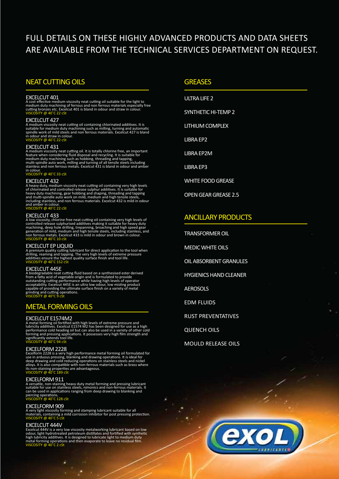# FULL DETAILS ON THESE HIGHLY ADVANCED PRODUCTS AND DATA SHEETS ARE AVAILABLE FROM THE TECHNICAL SERVICES DEPARTMENT ON REQUEST.

## NEAT CUTTING OILS

#### EXCELCUT 401

A cost effective medium viscosity neat cutting oil suitable for the light to<br>medium duty machining of ferrous and non ferrous materials especially free<br>cutting bronzes etc. Excelcut 401 is bland in odour and straw in colou

#### EXCELCUT 427

A medium viscosity neat cutting oil containing chlorinated additives. It is suitable for medium duty machining such as milling, turning and automatic<br>spindle work of mild steels and non ferrous materials. Excelcut 427 is bland<br>in odour and straw in colour.<br>VISCOSITY @ 40˚C 22 cSt

#### EXCELCUT 431

A medium viscosity neat cutting oil. It is totally chlorine free, an important<br>feature when considering fluid disposal and recycling. It is suitable for<br>medium duty machining such as hobbing, threading and tapping,<br>multi-s in colour.

Y @ 40<sup>°</sup>C 33 cSt

**EXCELCUT 432**<br>A heavy duty, medium viscosity neat cutting oil containing very high levels<br>of chlorinated and controlled release sulphur additives. It is suitable for<br>heavy duty machining, gear hobbing and shaping, threadi

#### EXCELCUT 433

A low viscosity, chlorine free neat cutting oil containing very high levels of controlled release sulphurised additives making it suitable for heavy duty machining, deep hole drilling, trepanning, broaching and high speed

EXCELCUT EP LIQUID<br>A premium quality cutting lubricant for direct application to the tool when<br>drilling, reaming and tapping. The very high levels of extreme pressure<br>additives ensure the highest quality surface finish and

EXCELCUT 445E<br>A biodegradable neat cutting fluid based on a synthesised ester derived<br>from a fatty acid of vegetable origin and is formulated to provide<br>outstanding cutting performance while having high levels of operator<br>

## METAL FORMING OILS

#### EXCELCUT E1574M2

A metal forming oil fortified with high levels of extreme pressure and<br>lubricity additives. Excelcut E1574 M2 has been designed for use as a high<br>performance cold heading oil but can also be used in a variety of other cold

EXCELFORM 2228<br>Excelform 2228 is a very high performance metal forming oil formulated for<br>use in arduous pressing, blanking and drawing operations. It is ideal for<br>deep drawing and cold reducing operations on stainless ste alloys. It is also compatible with non-ferrous materials such as brass where<br>its non-staining properties are advantageous.<br>VISCOSITY @ 40˚C 189 cSt

#### EXCELFORM 911

A versatile, non-staining heavy duty metal forming and pressing lubricant suitable for use on stainless steels, nimonics and non-ferrous materials. It can be used in applications ranging from deep drawing to blanking and piercing operatio VISCOSITY @ 40˚C 128 cSt

### EXCELFORM 909

A very light viscosity forming and stamping lubricant suitable for all<br>materials, containing a mild corrosion inhibitor for post pressing protection.<br>VISCOSITY @ 40˚C 5 cSt

**EXCELCUT 444V**<br>Excelcut 444V is a very low viscosity metalworking lubricant based on low<br>odour, light hydrotreated petroleum distillates and fortified with synthetic<br>high lubricity additives. It is designed to lubricate

#### **GREASES**

ULTRA LIFE 2 SYNTHETIC HI-TEMP 2 LITHIUM COMPLEX LIBRA EP2 LIBRA EP2M LIBRA EP3 WHITE FOOD GREASE

OPEN GEAR GREASE 2.5

## ANCILLARY PRODUCTS

TRANSFORMER OIL

MEDIC WHITE OILS

OIL ABSORBENT GRANULES

HYGIENICS HAND CLEANER

AEROSOLS

EDM FLUIDS

RUST PREVENTATIVES

QUENCH OILS

é

MOULD RELEASE OILS

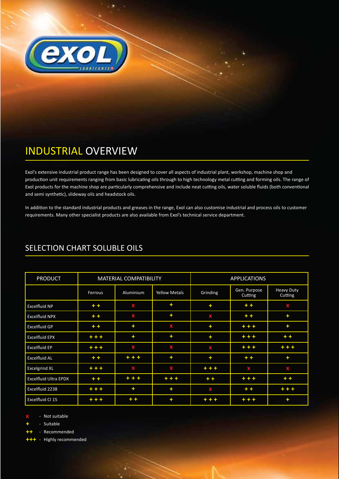

# INDUSTRIAL OVERVIEW

Exol's extensive industrial product range has been designed to cover all aspects of industrial plant, workshop, machine shop and production unit requirements ranging from basic lubricating oils through to high technology metal cutting and forming oils. The range of Exol products for the machine shop are particularly comprehensive and include neat cutting oils, water soluble fluids (both conventional and semi synthetic), slideway oils and headstock oils.

In addition to the standard industrial products and greases in the range, Exol can also customise industrial and process oils to customer requirements. Many other specialist products are also available from Exol's technical service department.

| <b>PRODUCT</b>        | <b>MATERIAL COMPATIBILITY</b> |           |                      | <b>APPLICATIONS</b> |                         |                              |
|-----------------------|-------------------------------|-----------|----------------------|---------------------|-------------------------|------------------------------|
|                       | Ferrous                       | Aluminium | <b>Yellow Metals</b> | Grinding            | Gen. Purpose<br>Cutting | <b>Heavy Duty</b><br>Cutting |
| Excelfluid NP         | $+ +$                         | X         | $\ddot{}$            | ٠                   | $+ +$                   | X                            |
| Excelfluid NPX        | $+ +$                         | X         | ٠                    | X                   | $+ +$                   | ÷                            |
| Excelfluid GP         | $+ +$                         | $\ddot{}$ | X                    | ÷                   | $+ + +$                 | ÷                            |
| Excelfluid EPX        | $+ + +$                       | ÷         | $\ddot{}$            | ÷                   | $+ + +$                 | $+ +$                        |
| <b>Excelfluid EP</b>  | $+ + +$                       | X         | X                    | X                   | $+ + +$                 | $+ + +$                      |
| Excelfluid AL         | $+ +$                         | $+ + +$   | ÷                    | ÷                   | $+ +$                   | ÷                            |
| <b>Excelgrind XL</b>  | $+ + +$                       | X         | X                    | $+ + +$             | Х                       | X                            |
| Excelfluid Ultra EPDX | $+ +$                         | $+ + +$   | $+ + +$              | $+ +$               | $+ + +$                 | $+ +$                        |
| Excelfluid 2238       | $+ + +$                       | ÷         | ÷                    | X                   | $+ +$                   | $+ + +$                      |
| Excelfluid CI 15      | $+ + +$                       | $+ +$     | ÷                    | $+ + +$             | $+ + +$                 | $\ddot{\phantom{1}}$         |

# SELECTION CHART SOLUBLE OILS

**x** - Not suitable

**+** - Suitable

**++** - Recommended

- Highly recommended